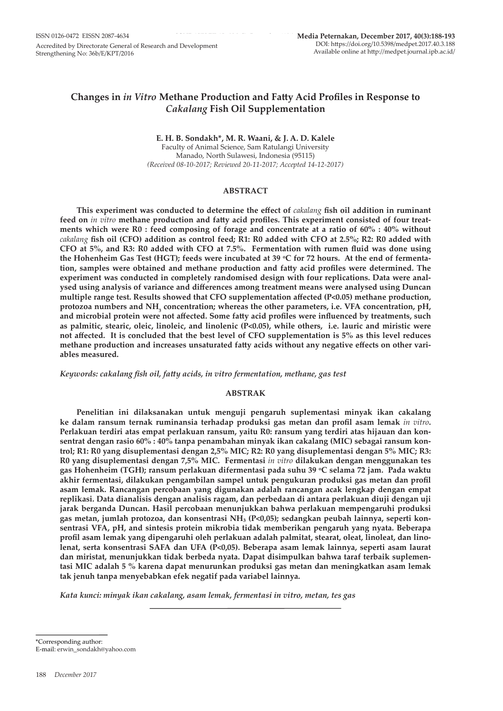# **Changes in** *in Vitro* **Methane Production and Fatty Acid Profiles in Response to**  *Cakalang* **Fish Oil Supplementation**

**E. H. B. Sondakh\*, M. R. Waani, & J. A. D. Kalele** Faculty of Animal Science, Sam Ratulangi University Manado, North Sulawesi, Indonesia (95115) *(Received 08-10-2017; Reviewed 20-11-2017; Accepted 14-12-2017)*

#### **ABSTRACT**

**This experiment was conducted to determine the effect of** *cakalang* **fish oil addition in ruminant feed on** *in vitro* **methane production and fatty acid profiles. This experiment consisted of four treatments which were R0 : feed composing of forage and concentrate at a ratio of 60% : 40% without**  *cakalang* **fish oil (CFO) addition as control feed; R1: R0 added with CFO at 2.5%; R2: R0 added with CFO at 5%, and R3: R0 added with CFO at 7.5%. Fermentation with rumen fluid was done using**  the Hohenheim Gas Test (HGT); feeds were incubated at 39 °C for 72 hours. At the end of fermenta**tion, samples were obtained and methane production and fatty acid profiles were determined. The experiment was conducted in completely randomised design with four replications. Data were analysed using analysis of variance and differences among treatment means were analysed using Duncan multiple range test. Results showed that CFO supplementation affected (P<0.05) methane production, protozoa numbers and NH<sup>3</sup> concentration; whereas the other parameters, i.e. VFA concentration, pH, and microbial protein were not affected. Some fatty acid profiles were influenced by treatments, such as palmitic, stearic, oleic, linoleic, and linolenic (P<0.05), while others, i.e. lauric and miristic were not affected. It is concluded that the best level of CFO supplementation is 5% as this level reduces methane production and increases unsaturated fatty acids without any negative effects on other variables measured.**

*Keywords: cakalang fish oil, fatty acids, in vitro fermentation, methane, gas test*

## **ABSTRAK**

**Penelitian ini dilaksanakan untuk menguji pengaruh suplementasi minyak ikan cakalang ke dalam ransum ternak ruminansia terhadap produksi gas metan dan profil asam lemak** *in vitro***. Perlakuan terdiri atas empat perlakuan ransum, yaitu R0: ransum yang terdiri atas hijauan dan konsentrat dengan rasio 60% : 40% tanpa penambahan minyak ikan cakalang (MIC) sebagai ransum kontrol; R1: R0 yang disuplementasi dengan 2,5% MIC; R2: R0 yang disuplementasi dengan 5% MIC; R3: R0 yang disuplementasi dengan 7,5% MIC. Fermentasi** *in vitro* **dilakukan dengan menggunakan tes gas Hohenheim (TGH); ransum perlakuan difermentasi pada suhu 39 <sup>o</sup> C selama 72 jam. Pada waktu akhir fermentasi, dilakukan pengambilan sampel untuk pengukuran produksi gas metan dan profil asam lemak. Rancangan percobaan yang digunakan adalah rancangan acak lengkap dengan empat replikasi. Data dianalisis dengan analisis ragam, dan perbedaan di antara perlakuan diuji dengan uji jarak berganda Duncan. Hasil percobaan menunjukkan bahwa perlakuan mempengaruhi produksi gas metan, jumlah protozoa, dan konsentrasi NH₃ (P<0,05); sedangkan peubah lainnya, seperti konsentrasi VFA, pH, and sintesis protein mikrobia tidak memberikan pengaruh yang nyata. Beberapa profil asam lemak yang dipengaruhi oleh perlakuan adalah palmitat, stearat, oleat, linoleat, dan linolenat, serta konsentrasi SAFA dan UFA (P<0,05). Beberapa asam lemak lainnya, seperti asam laurat dan miristat, menunjukkan tidak berbeda nyata. Dapat disimpulkan bahwa taraf terbaik suplementasi MIC adalah 5 % karena dapat menurunkan produksi gas metan dan meningkatkan asam lemak tak jenuh tanpa menyebabkan efek negatif pada variabel lainnya.**

*Kata kunci: minyak ikan cakalang, asam lemak, fermentasi in vitro, metan, tes gas*

\*Corresponding author: E-mail: erwin\_sondakh@yahoo.com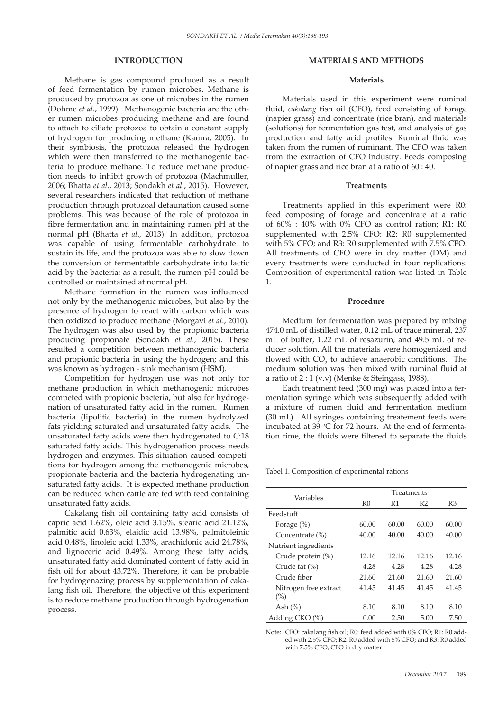## **INTRODUCTION**

Methane is gas compound produced as a result of feed fermentation by rumen microbes. Methane is produced by protozoa as one of microbes in the rumen (Dohme *et al*., 1999). Methanogenic bacteria are the other rumen microbes producing methane and are found to attach to ciliate protozoa to obtain a constant supply of hydrogen for producing methane (Kamra, 2005). In their symbiosis, the protozoa released the hydrogen which were then transferred to the methanogenic bacteria to produce methane. To reduce methane production needs to inhibit growth of protozoa (Machmuller, 2006; Bhatta *et al*., 2013; Sondakh *et al*., 2015). However, several researchers indicated that reduction of methane production through protozoal defaunation caused some problems. This was because of the role of protozoa in fibre fermentation and in maintaining rumen pH at the normal pH (Bhatta *et al*., 2013). In addition, protozoa was capable of using fermentable carbohydrate to sustain its life, and the protozoa was able to slow down the conversion of fermentatble carbohydrate into lactic acid by the bacteria; as a result, the rumen pH could be controlled or maintained at normal pH.

Methane formation in the rumen was influenced not only by the methanogenic microbes, but also by the presence of hydrogen to react with carbon which was then oxidized to produce methane (Morgavi *et al*., 2010). The hydrogen was also used by the propionic bacteria producing propionate (Sondakh *et al.,* 2015). These resulted a competition between methanogenic bacteria and propionic bacteria in using the hydrogen; and this was known as hydrogen - sink mechanism (HSM).

Competition for hydrogen use was not only for methane production in which methanogenic microbes competed with propionic bacteria, but also for hydrogenation of unsaturated fatty acid in the rumen. Rumen bacteria (lipolitic bacteria) in the rumen hydrolyzed fats yielding saturated and unsaturated fatty acids. The unsaturated fatty acids were then hydrogenated to C:18 saturated fatty acids. This hydrogenation process needs hydrogen and enzymes. This situation caused competitions for hydrogen among the methanogenic microbes, propionate bacteria and the bacteria hydrogenating unsaturated fatty acids. It is expected methane production can be reduced when cattle are fed with feed containing unsaturated fatty acids.

Cakalang fish oil containing fatty acid consists of capric acid 1.62%, oleic acid 3.15%, stearic acid 21.12%, palmitic acid 0.63%, elaidic acid 13.98%, palmitoleinic acid 0.48%, linoleic acid 1.33%, arachidonic acid 24.78%, and lignoceric acid 0.49%. Among these fatty acids, unsaturated fatty acid dominated content of fatty acid in fish oil for about 43.72%. Therefore, it can be probable for hydrogenazing process by supplementation of cakalang fish oil. Therefore, the objective of this experiment is to reduce methane production through hydrogenation process.

## **MATERIALS AND METHODS**

#### **Materials**

Materials used in this experiment were ruminal fluid, *cakalang* fish oil (CFO), feed consisting of forage (napier grass) and concentrate (rice bran), and materials (solutions) for fermentation gas test, and analysis of gas production and fatty acid profiles. Ruminal fluid was taken from the rumen of ruminant. The CFO was taken from the extraction of CFO industry. Feeds composing of napier grass and rice bran at a ratio of 60 : 40.

#### **Treatments**

Treatments applied in this experiment were R0: feed composing of forage and concentrate at a ratio of 60% : 40% with 0% CFO as control ration; R1: R0 supplemented with 2.5% CFO; R2: R0 supplemented with 5% CFO; and R3: R0 supplemented with 7.5% CFO. All treatments of CFO were in dry matter (DM) and every treatments were conducted in four replications. Composition of experimental ration was listed in Table 1.

#### **Procedure**

Medium for fermentation was prepared by mixing 474.0 mL of distilled water, 0.12 mL of trace mineral, 237 mL of buffer, 1.22 mL of resazurin, and 49.5 mL of reducer solution. All the materials were homogenized and flowed with  $CO<sub>2</sub>$  to achieve anaerobic conditions. The medium solution was then mixed with ruminal fluid at a ratio of  $2:1$  (v.v) (Menke & Steingass, 1988).

Each treatment feed (300 mg) was placed into a fermentation syringe which was subsequently added with a mixture of rumen fluid and fermentation medium (30 mL). All syringes containing treatement feeds were incubated at 39  $°C$  for 72 hours. At the end of fermentation time, the fluids were filtered to separate the fluids

Tabel 1. Composition of experimental rations

| Variables                    | <b>Treatments</b> |       |                |       |
|------------------------------|-------------------|-------|----------------|-------|
|                              | R <sub>0</sub>    | R1    | R <sub>2</sub> | R3    |
| Feedstuff                    |                   |       |                |       |
| Forage $(\%)$                | 60.00             | 60.00 | 60.00          | 60.00 |
| Concentrate (%)              | 40.00             | 40.00 | 40.00          | 40.00 |
| Nutrient ingredients         |                   |       |                |       |
| Crude protein (%)            | 12.16             | 12.16 | 12.16          | 12.16 |
| Crude fat $(\%)$             | 4.28              | 4.28  | 4.28           | 4.28  |
| Crude fiber                  | 21.60             | 21.60 | 21.60          | 21.60 |
| Nitrogen free extract<br>(%) | 41.45             | 41.45 | 41.45          | 41.45 |
| Ash $(\%)$                   | 8.10              | 8.10  | 8.10           | 8.10  |
| Adding CKO (%)               | 0.00              | 2.50  | 5.00           | 7.50  |

Note: CFO: cakalang fish oil; R0: feed added with 0% CFO; R1: R0 added with 2.5% CFO; R2: R0 added with 5% CFO; and R3: R0 added with 7.5% CFO; CFO in dry matter.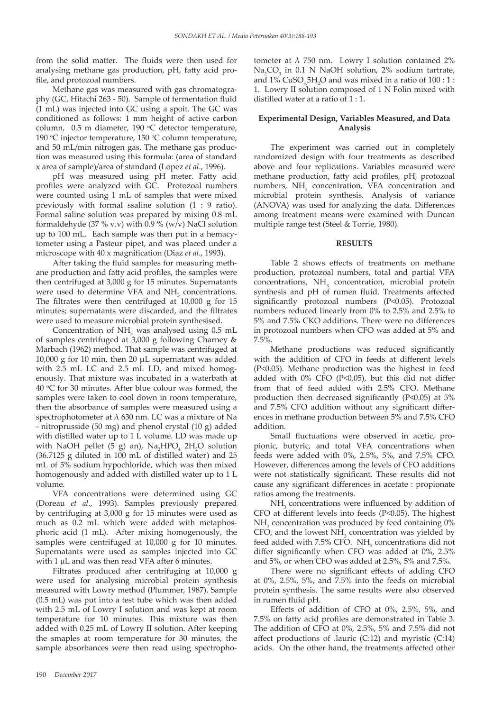from the solid matter. The fluids were then used for analysing methane gas production, pH, fatty acid profile, and protozoal numbers.

Methane gas was measured with gas chromatography (GC, Hitachi 263 - 50). Sample of fermentation fluid (1 mL) was injected into GC using a spoit. The GC was conditioned as follows: 1 mm height of active carbon column,  $0.5$  m diameter, 190 °C detector temperature, 190 °C injector temperature, 150 °C column temperature, and 50 mL/min nitrogen gas. The methane gas production was measured using this formula: (area of standard x area of sample)/area of standard (Lopez *et al*., 1996).

pH was measured using pH meter. Fatty acid profiles were analyzed with GC. Protozoal numbers were counted using 1 mL of samples that were mixed previously with formal ssaline solution (1 : 9 ratio). Formal saline solution was prepared by mixing 0.8 mL formaldehyde (37 % v.v) with 0.9 % (w/v) NaCl solution up to 100 mL. Each sample was then put in a hemacytometer using a Pasteur pipet, and was placed under a microscope with 40 x magnification (Diaz *et al*., 1993).

After taking the fluid samples for measuring methane production and fatty acid profiles, the samples were then centrifuged at 3,000 g for 15 minutes. Supernatants were used to determine VFA and  $NH<sub>3</sub>$  concentrations. The filtrates were then centrifuged at 10,000 g for 15 minutes; supernatants were discarded, and the filtrates were used to measure microbial protein synthesised.

Concentration of  $NH<sub>3</sub>$  was analysed using 0.5 mL of samples centrifuged at 3,000 g following Charney & Marbach (1962) method. That sample was centrifuged at 10,000 g for 10 min, then 20 µL supernatant was added with 2.5 mL LC and 2.5 mL LD, and mixed homogenously. That mixture was incubated in a waterbath at 40 °C for 30 minutes. After blue colour was formed, the samples were taken to cool down in room temperature, then the absorbance of samples were measured using a spectrophotometer at  $\lambda$  630 nm. LC was a mixture of Na - nitroprusside (50 mg) and phenol crystal (10 g) added with distilled water up to 1 L volume. LD was made up with NaOH pellet (5 g) an),  $\text{Na}_2\text{HPO}_4$  2H<sub>2</sub>O solution (36.7125 g diluted in 100 mL of distilled water) and 25 mL of 5% sodium hypochloride, which was then mixed homogenously and added with distilled water up to 1 L volume.

VFA concentrations were determined using GC (Doreau *et al*., 1993). Samples previously prepared by centrifuging at 3,000 g for 15 minutes were used as much as 0.2 mL which were added with metaphosphoric acid (1 mL). After mixing homogenously, the samples were centrifuged at 10,000 g for 10 minutes. Supernatants were used as samples injected into GC with 1 µL and was then read VFA after 6 minutes.

Filtrates produced after centrifuging at 10,000 g were used for analysing microbial protein synthesis measured with Lowry method (Plummer, 1987). Sample (0.5 mL) was put into a test tube which was then added with 2.5 mL of Lowry I solution and was kept at room temperature for 10 minutes. This mixture was then added with 0.25 mL of Lowry II solution. After keeping the smaples at room temperature for 30 minutes, the sample absorbances were then read using spectrophotometer at  $\lambda$  750 nm. Lowry I solution contained 2%  $\text{Na}_2\text{CO}_3$  in 0.1 N NaOH solution, 2% sodium tartrate, and  $1\%$  CuSO<sub>4</sub>5H<sub>2</sub>O and was mixed in a ratio of  $100:1$ : 1. Lowry II solution composed of 1 N Folin mixed with distilled water at a ratio of 1 : 1.

## **Experimental Design, Variables Measured, and Data Analysis**

The experiment was carried out in completely randomized design with four treatments as described above and four replications. Variables measured were methane production, fatty acid profiles, pH, protozoal numbers,  $NH<sub>3</sub>$  concentration, VFA concentration and microbial protein synthesis. Analysis of variance (ANOVA) was used for analyzing the data. Differences among treatment means were examined with Duncan multiple range test (Steel & Torrie, 1980).

#### **RESULTS**

Table 2 shows effects of treatments on methane production, protozoal numbers, total and partial VFA  $concentrations, NH<sub>3</sub> concentration, microbial protein$ synthesis and pH of rumen fluid. Treatments affected significantly protozoal numbers (P<0.05). Protozoal numbers reduced linearly from 0% to 2.5% and 2.5% to 5% and 7.5% CKO additions. There were no differences in protozoal numbers when CFO was added at 5% and 7.5%.

Methane productions was reduced significantly with the addition of CFO in feeds at different levels (P<0.05). Methane production was the highest in feed added with 0% CFO (P<0.05), but this did not differ from that of feed added with 2.5% CFO. Methane production then decreased significantly (P<0.05) at 5% and 7.5% CFO addition without any significant differences in methane production between 5% and 7.5% CFO addition.

Small fluctuations were observed in acetic, propionic, butyric, and total VFA concentrations when feeds were added with 0%, 2.5%, 5%, and 7.5% CFO. However, differences among the levels of CFO additions were not statistically significant. These results did not cause any significant differences in acetate : propionate ratios among the treatments.

 $NH<sub>3</sub>$  concentrations were influenced by addition of CFO at different levels into feeds (P<0.05). The highest  $NH<sub>3</sub>$  concentration was produced by feed containing 0% CFO, and the lowest  $NH<sub>3</sub>$  concentration was yielded by feed added with  $7.5\%$  CFO.  $NH<sub>3</sub>$  concentrations did not differ significantly when CFO was added at 0%, 2.5% and 5%, or when CFO was added at 2.5%, 5% and 7.5%.

There were no significant effects of adding CFO at 0%, 2.5%, 5%, and 7.5% into the feeds on microbial protein synthesis. The same results were also observed in rumen fluid pH.

Effects of addition of CFO at 0%, 2.5%, 5%, and 7.5% on fatty acid profiles are demonstrated in Table 3. The addition of CFO at 0%, 2.5%, 5% and 7.5% did not affect productions of .lauric (C:12) and myristic (C:14) acids. On the other hand, the treatments affected other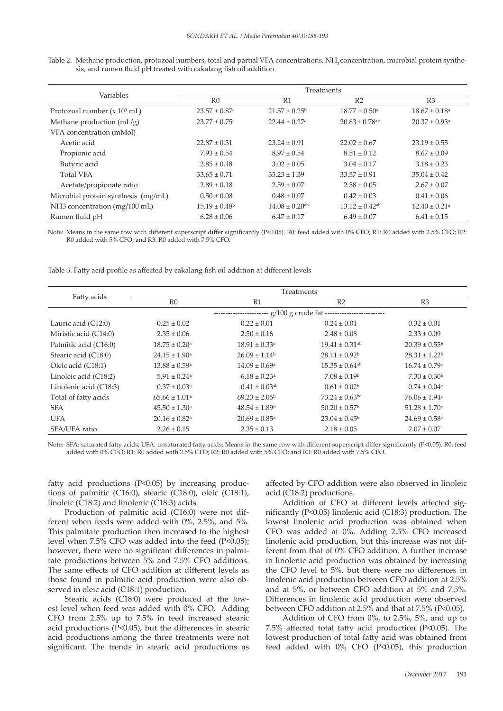Table 2. Methane production, protozoal numbers, total and partial VFA concentrations, NH<sub>3</sub> concentration, microbial protein synthesis, and rumen fluid pH treated with cakalang fish oil addition

| <b>Variables</b>                    | Treatments                    |                                |                                |                               |  |
|-------------------------------------|-------------------------------|--------------------------------|--------------------------------|-------------------------------|--|
|                                     | R <sub>0</sub>                | R1                             | R <sub>2</sub>                 | R3                            |  |
| Protozoal number $(x 103$ mL)       | $23.57 \pm 0.87$ <sup>c</sup> | $21.57 \pm 0.25^{\circ}$       | $18.77 \pm 0.50$ <sup>a</sup>  | $18.67 \pm 0.18$ <sup>a</sup> |  |
| Methane production $(mL/g)$         | $23.77 \pm 0.75$ c            | $22.44 \pm 0.27$ c             | $20.83 \pm 0.78$ <sup>ab</sup> | $20.37 \pm 0.93$ <sup>a</sup> |  |
| VFA concentration (mMol)            |                               |                                |                                |                               |  |
| Acetic acid                         | $22.87 \pm 0.31$              | $23.24 \pm 0.91$               | $22.02 \pm 0.67$               | $23.19 \pm 0.55$              |  |
| Propionic acid                      | $7.93 \pm 0.54$               | $8.97 \pm 0.54$                | $8.51 \pm 0.12$                | $8.67 \pm 0.09$               |  |
| Butyric acid                        | $2.85 \pm 0.18$               | $3.02 \pm 0.05$                | $3.04 \pm 0.17$                | $3.18 \pm 0.23$               |  |
| <b>Total VFA</b>                    | $33.65 \pm 0.71$              | $35.23 \pm 1.39$               | $33.57 \pm 0.91$               | $35.04 \pm 0.42$              |  |
| Acetate/propionate ratio            | $2.89 \pm 0.18$               | $2.59 \pm 0.07$                | $2.58 \pm 0.05$                | $2.67 \pm 0.07$               |  |
| Microbial protein synthesis (mg/mL) | $0.50 \pm 0.08$               | $0.48 \pm 0.07$                | $0.42 \pm 0.03$                | $0.41 \pm 0.06$               |  |
| NH3 concentration (mg/100 mL)       | $15.19 \pm 0.48$ <sup>b</sup> | $14.08 \pm 0.20$ <sup>ab</sup> | $13.12 \pm 0.42$ <sup>ab</sup> | $12.40 \pm 0.21$ <sup>a</sup> |  |
| Rumen fluid pH                      | $6.28 \pm 0.06$               | $6.47 \pm 0.17$                | $6.49 \pm 0.07$                | $6.41 \pm 0.15$               |  |

Note: Means in the same row with different superscript differ significantly (P<0.05). R0: feed added with 0% CFO; R1: R0 added with 2.5% CFO; R2: R0 added with 5% CFO; and R3: R0 added with 7.5% CFO.

Table 3. Fatty acid profile as affected by cakalang fish oil addition at different levels

| Fatty acids            | Treatments                                                        |                               |                                |                          |  |  |  |
|------------------------|-------------------------------------------------------------------|-------------------------------|--------------------------------|--------------------------|--|--|--|
|                        | R <sub>0</sub>                                                    | R1                            | R <sub>2</sub>                 | R <sub>3</sub>           |  |  |  |
|                        | ---------------------- g/100 g crude fat ------------------------ |                               |                                |                          |  |  |  |
| Lauric acid $(C12:0)$  | $0.25 \pm 0.02$                                                   | $0.22 \pm 0.01$               | $0.24 \pm 0.01$                | $0.32 \pm 0.01$          |  |  |  |
| Miristic acid (C14:0)  | $2.35 \pm 0.06$                                                   | $2.50 \pm 0.16$               | $2.48 \pm 0.08$                | $2.33 \pm 0.09$          |  |  |  |
| Palmitic acid (C16:0)  | $18.75 \pm 0.20$ <sup>a</sup>                                     | $18.91 \pm 0.33$ <sup>a</sup> | $19.41 \pm 0.31$ <sup>ab</sup> | $20.39 \pm 0.55^{\circ}$ |  |  |  |
| Stearic acid (C18:0)   | $24.15 \pm 1.90^{\circ}$                                          | $26.09 \pm 1.14^b$            | $28.11 \pm 0.92^b$             | $28.31 \pm 1.22^b$       |  |  |  |
| Oleic acid (C18:1)     | $13.88 \pm 0.59$ <sup>a</sup>                                     | $14.09 \pm 0.69$ <sup>a</sup> | $15.35 \pm 0.64$ <sup>ab</sup> | $16.74 \pm 0.79$ c       |  |  |  |
| Linoleic acid (C18:2)  | $5.91 \pm 0.24$ <sup>a</sup>                                      | $6.18 \pm 0.23$ <sup>a</sup>  | $7.08 \pm 0.19^{\circ}$        | $7.30 \pm 0.30^{\rm b}$  |  |  |  |
| Linolenic acid (C18:3) | $0.37 \pm 0.03^{\text{a}}$                                        | $0.41 \pm 0.03^{ab}$          | $0.61 \pm 0.02^b$              | $0.74 \pm 0.04$ c        |  |  |  |
| Total of fatty acids   | $65.66 \pm 1.01$ <sup>a</sup>                                     | $69.23 \pm 2.05^{\circ}$      | $73.24 \pm 0.63$ <sup>bc</sup> | $76.06 \pm 1.94$ c       |  |  |  |
| <b>SFA</b>             | $45.50 \pm 1.30^{\circ}$                                          | $48.54 \pm 1.89^{\circ}$      | $50.20 \pm 0.57^{\rm b}$       | $51.28 \pm 1.70$ c       |  |  |  |
| <b>UFA</b>             | $20.16 \pm 0.82$ <sup>a</sup>                                     | $20.69 \pm 0.85$ <sup>a</sup> | $23.04 \pm 0.45^{\circ}$       | $24.69 \pm 0.58$ c       |  |  |  |
| SFA/UFA ratio          | $2.26 \pm 0.15$                                                   | $2.35 \pm 0.13$               | $2.18 \pm 0.05$                | $2.07 \pm 0.07$          |  |  |  |

Note: SFA: saturated fatty acids; UFA: unsaturated fatty acids; Means in the same row with different superscript differ significantly (P<0.05). R0: feed added with 0% CFO; R1: R0 added with 2.5% CFO; R2: R0 added with 5% CFO; and R3: R0 added with 7.5% CFO.

fatty acid productions (P<0.05) by increasing productions of palmitic (C16:0), stearic (C18:0), oleic (C18:1), linoleic (C18:2) and linolenic (C18:3) acids.

Production of palmitic acid (C16:0) were not different when feeds were added with 0%, 2.5%, and 5%. This palmitate production then increased to the highest level when  $7.5\%$  CFO was added into the feed (P<0.05); however, there were no significant differences in palmitate productions between 5% and 7.5% CFO additions. The same effects of CFO addition at different levels as those found in palmitic acid production were also observed in oleic acid (C18:1) production.

Stearic acids (C18:0) were produced at the lowest level when feed was added with 0% CFO. Adding CFO from 2.5% up to 7.5% in feed increased stearic acid productions (P<0.05), but the differences in stearic acid productions among the three treatments were not significant. The trends in stearic acid productions as affected by CFO addition were also observed in linoleic acid (C18:2) productions.

Addition of CFO at different levels affected significantly (P<0.05) linolenic acid (C18:3) production. The lowest linolenic acid production was obtained when CFO was added at 0%. Adding 2.5% CFO increased linolenic acid production, but this increase was not different from that of 0% CFO addition. A further increase in linolenic acid production was obtained by increasing the CFO level to 5%, but there were no differences in linolenic acid production between CFO addition at 2.5% and at 5%, or between CFO addition at 5% and 7.5%. Differences in linolenic acid production were observed between CFO addition at 2.5% and that at 7.5% (P<0.05).

Addition of CFO from 0%, to 2.5%, 5%, and up to 7.5% affected total fatty acid production (P<0.05). The lowest production of total fatty acid was obtained from feed added with 0% CFO (P<0.05), this production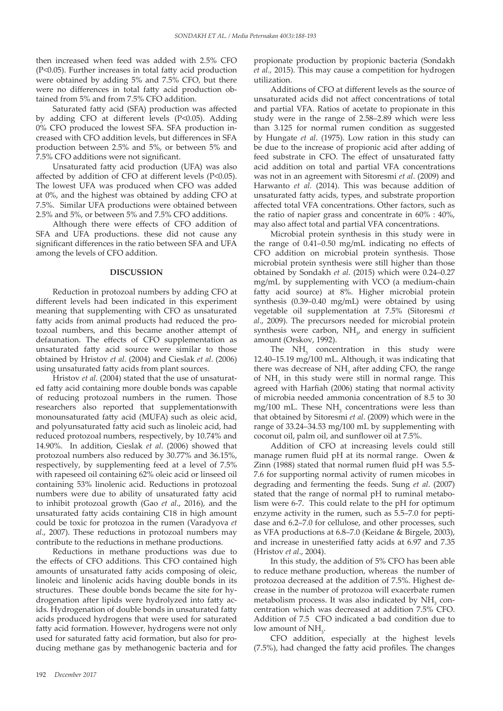then increased when feed was added with 2.5% CFO (P<0.05). Further increases in total fatty acid production were obtained by adding 5% and 7.5% CFO, but there were no differences in total fatty acid production obtained from 5% and from 7.5% CFO addition.

Saturated fatty acid (SFA) production was affected by adding CFO at different levels (P<0.05). Adding 0% CFO produced the lowest SFA. SFA production increased with CFO addition levels, but differences in SFA production between 2.5% and 5%, or between 5% and 7.5% CFO additions were not significant.

Unsaturated fatty acid production (UFA) was also affected by addition of CFO at different levels (P<0.05). The lowest UFA was produced when CFO was added at 0%, and the highest was obtained by adding CFO at 7.5%. Similar UFA productions were obtained between 2.5% and 5%, or between 5% and 7.5% CFO additions.

Although there were effects of CFO addition of SFA and UFA productions. these did not cause any significant differences in the ratio between SFA and UFA among the levels of CFO addition.

## **DISCUSSION**

Reduction in protozoal numbers by adding CFO at different levels had been indicated in this experiment meaning that supplementing with CFO as unsaturated fatty acids from animal products had reduced the protozoal numbers, and this became another attempt of defaunation. The effects of CFO supplementation as unsaturated fatty acid source were similar to those obtained by Hristov *et al*. (2004) and Cieslak *et al*. (2006) using unsaturated fatty acids from plant sources.

Hristov *et al*. (2004) stated that the use of unsaturated fatty acid containing more double bonds was capable of reducing protozoal numbers in the rumen. Those researchers also reported that supplementationwith monounsaturated fatty acid (MUFA) such as oleic acid, and polyunsaturated fatty acid such as linoleic acid, had reduced protozoal numbers, respectively, by 10.74% and 14.90%. In addition, Cieslak *et al*. (2006) showed that protozoal numbers also reduced by 30.77% and 36.15%, respectively, by supplementing feed at a level of 7.5% with rapeseed oil containing 62% oleic acid or linseed oil containing 53% linolenic acid. Reductions in protozoal numbers were due to ability of unsaturated fatty acid to inhibit protozoal growth (Gao *et al*., 2016), and the unsaturated fatty acids containing C18 in high amount could be toxic for protozoa in the rumen (Varadyova *et al*., 2007). These reductions in protozoal numbers may contribute to the reductions in methane productions.

Reductions in methane productions was due to the effects of CFO additions. This CFO contained high amounts of unsaturated fatty acids composing of oleic, linoleic and linolenic acids having double bonds in its structures. These double bonds became the site for hydrogenation after lipids were hydrolyzed into fatty acids. Hydrogenation of double bonds in unsaturated fatty acids produced hydrogens that were used for saturated fatty acid formation. However, hydrogens were not only used for saturated fatty acid formation, but also for producing methane gas by methanogenic bacteria and for

propionate production by propionic bacteria (Sondakh *et al.,* 2015). This may cause a competition for hydrogen utilization.

Additions of CFO at different levels as the source of unsaturated acids did not affect concentrations of total and partial VFA. Ratios of acetate to propionate in this study were in the range of 2.58–2.89 which were less than 3.125 for normal rumen condition as suggested by Hungate *et al*. (1975). Low ration in this study can be due to the increase of propionic acid after adding of feed substrate in CFO. The effect of unsaturated fatty acid addition on total and partial VFA concentrations was not in an agreement with Sitoresmi *et al*. (2009) and Harwanto *et al.* (2014). This was because addition of unsaturated fatty acids, types, and substrate proportion affected total VFA concentrations. Other factors, such as the ratio of napier grass and concentrate in 60% : 40%, may also affect total and partial VFA concentrations.

Microbial protein synthesis in this study were in the range of 0.41–0.50 mg/mL indicating no effects of CFO addition on microbial protein synthesis. Those microbial protein synthesis were still higher than those obtained by Sondakh *et al*. (2015) which were 0.24–0.27 mg/mL by supplementing with VCO (a medium-chain fatty acid source) at 8%. Higher microbial protein synthesis (0.39–0.40 mg/mL) were obtained by using vegetable oil supplementation at 7.5% (Sitoresmi *et al*., 2009). The precursors needed for microbial protein synthesis were carbon,  $NH_{3}$ , and energy in sufficient amount (Orskov, 1992).

The  $NH<sub>3</sub>$  concentration in this study were 12.40–15.19 mg/100 mL. Although, it was indicating that there was decrease of  $NH<sub>3</sub>$  after adding CFO, the range of  $NH<sub>3</sub>$  in this study were still in normal range. This agreed with Harfiah (2006) stating that normal activity of microbia needed ammonia concentration of 8.5 to 30 mg/100 mL. These  $NH<sub>3</sub>$  concentrations were less than that obtained by Sitoresmi *et al*. (2009) which were in the range of 33.24–34.53 mg/100 mL by supplementing with coconut oil, palm oil, and sunflower oil at 7.5%.

Addition of CFO at increasing levels could still manage rumen fluid pH at its normal range. Owen & Zinn (1988) stated that normal rumen fluid pH was 5.5- 7.6 for supporting normal activity of rumen micobes in degrading and fermenting the feeds. Sung *et al*. (2007) stated that the range of normal pH to ruminal metabolism were 6-7. This could relate to the pH for optimum enzyme activity in the rumen, such as 5.5–7.0 for peptidase and 6.2–7.0 for cellulose, and other processes, such as VFA productions at 6.8–7.0 (Keidane & Birgele, 2003), and increase in unesterified fatty acids at 6.97 and 7.35 (Hristov *et al*., 2004).

In this study, the addition of 5% CFO has been able to reduce methane production, whereas the number of protozoa decreased at the addition of 7.5%. Highest decrease in the number of protozoa will exacerbate rumen metabolism process. It was also indicated by  $NH<sub>3</sub>$  concentration which was decreased at addition 7.5% CFO. Addition of 7.5 CFO indicated a bad condition due to low amount of  $NH<sub>3</sub>$ .

CFO addition, especially at the highest levels (7.5%), had changed the fatty acid profiles. The changes